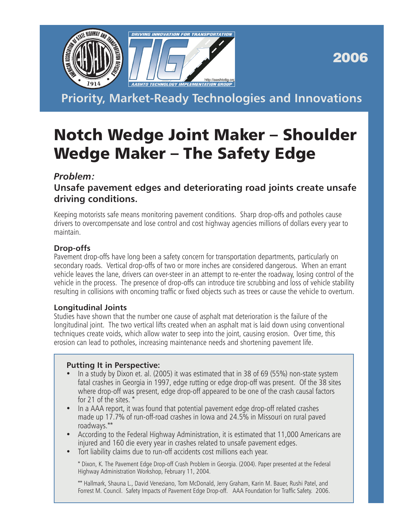

2006

**Priority, Market-Ready Technologies and Innovations**

# Notch Wedge Joint Maker – Shoulder Wedge Maker – The Safety Edge

## *Problem:*

## **Unsafe pavement edges and deteriorating road joints create unsafe driving conditions.**

Keeping motorists safe means monitoring pavement conditions. Sharp drop-offs and potholes cause drivers to overcompensate and lose control and cost highway agencies millions of dollars every year to maintain.

## **Drop-offs**

Pavement drop-offs have long been a safety concern for transportation departments, particularly on secondary roads. Vertical drop-offs of two or more inches are considered dangerous. When an errant vehicle leaves the lane, drivers can over-steer in an attempt to re-enter the roadway, losing control of the vehicle in the process. The presence of drop-offs can introduce tire scrubbing and loss of vehicle stability resulting in collisions with oncoming traffic or fixed objects such as trees or cause the vehicle to overturn.

### **Longitudinal Joints**

Studies have shown that the number one cause of asphalt mat deterioration is the failure of the longitudinal joint. The two vertical lifts created when an asphalt mat is laid down using conventional techniques create voids, which allow water to seep into the joint, causing erosion. Over time, this erosion can lead to potholes, increasing maintenance needs and shortening pavement life.

### **Putting It in Perspective:**

- In a study by Dixon et. al. (2005) it was estimated that in 38 of 69 (55%) non-state system fatal crashes in Georgia in 1997, edge rutting or edge drop-off was present. Of the 38 sites where drop-off was present, edge drop-off appeared to be one of the crash causal factors for 21 of the sites. \*
- In a AAA report, it was found that potential pavement edge drop-off related crashes made up 17.7% of run-off-road crashes in Iowa and 24.5% in Missouri on rural paved roadways.\*\*
- According to the Federal Highway Administration, it is estimated that 11,000 Americans are injured and 160 die every year in crashes related to unsafe pavement edges.
- Tort liability claims due to run-off accidents cost millions each year.

\* Dixon, K. The Pavement Edge Drop-off Crash Problem in Georgia. (2004). Paper presented at the Federal Highway Administration Workshop, February 11, 2004.

\*\* Hallmark, Shauna L., David Veneziano, Tom McDonald, Jerry Graham, Karin M. Bauer, Rushi Patel, and Forrest M. Council. Safety Impacts of Pavement Edge Drop-off. AAA Foundation for Traffic Safety. 2006.